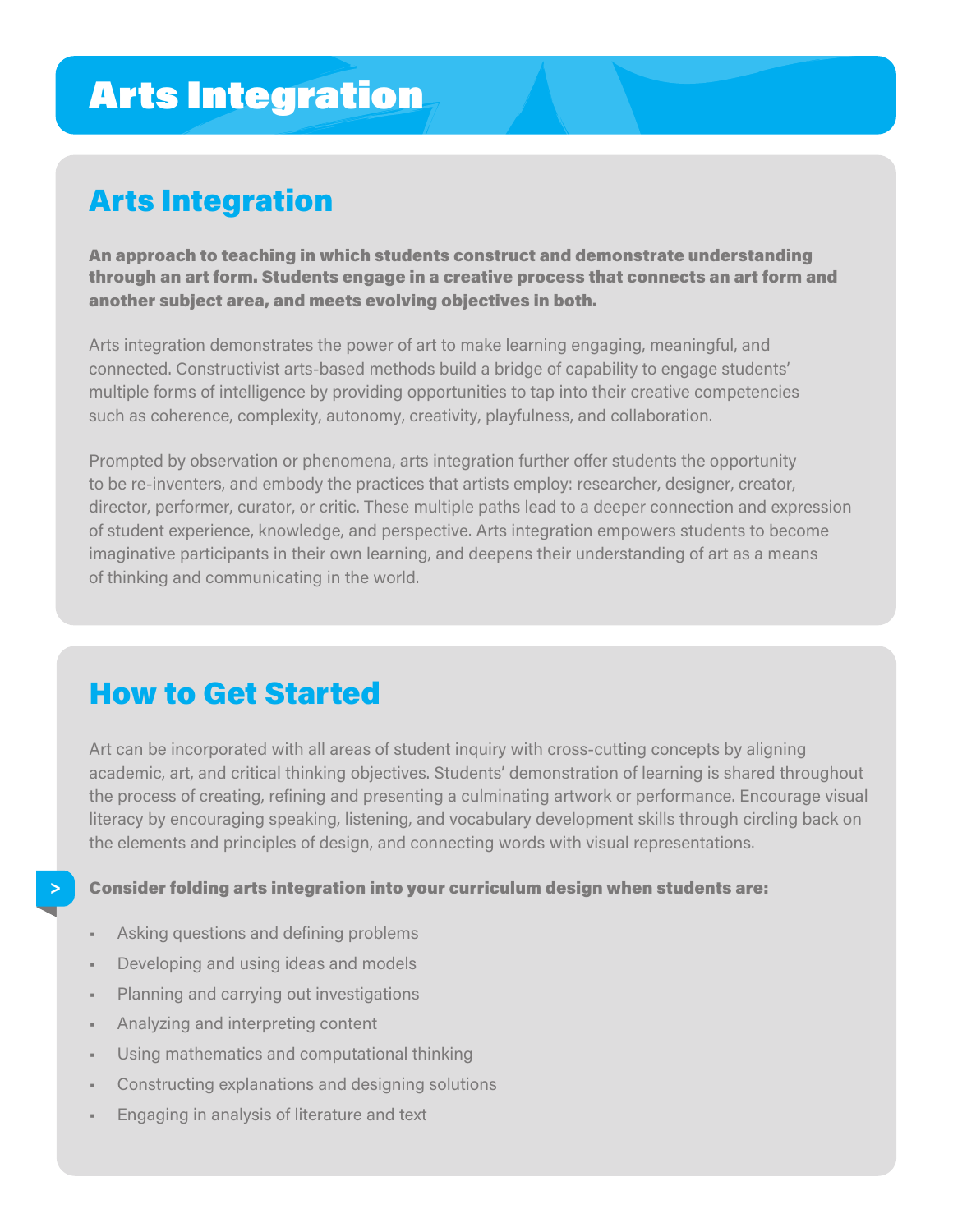# Arts Integration

# Arts Integration

An approach to teaching in which students construct and demonstrate understanding through an art form. Students engage in a creative process that connects an art form and another subject area, and meets evolving objectives in both.

Arts integration demonstrates the power of art to make learning engaging, meaningful, and connected. Constructivist arts-based methods build a bridge of capability to engage students' multiple forms of intelligence by providing opportunities to tap into their creative competencies such as coherence, complexity, autonomy, creativity, playfulness, and collaboration.

Prompted by observation or phenomena, arts integration further offer students the opportunity to be re-inventers, and embody the practices that artists employ: researcher, designer, creator, director, performer, curator, or critic. These multiple paths lead to a deeper connection and expression of student experience, knowledge, and perspective. Arts integration empowers students to become imaginative participants in their own learning, and deepens their understanding of art as a means of thinking and communicating in the world.

## How to Get Started

Art can be incorporated with all areas of student inquiry with cross-cutting concepts by aligning academic, art, and critical thinking objectives. Students' demonstration of learning is shared throughout the process of creating, refining and presenting a culminating artwork or performance. Encourage visual literacy by encouraging speaking, listening, and vocabulary development skills through circling back on the elements and principles of design, and connecting words with visual representations.

Consider folding arts integration into your curriculum design when students are:

- Asking questions and defining problems
- Developing and using ideas and models
- Planning and carrying out investigations
- Analyzing and interpreting content

**>**

- Using mathematics and computational thinking
- Constructing explanations and designing solutions
- Engaging in analysis of literature and text